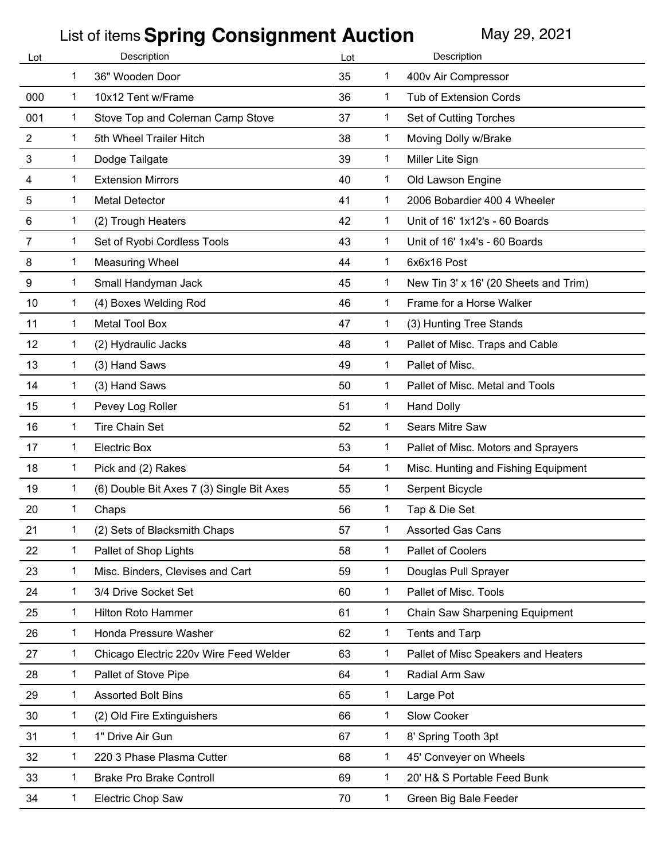| Lot     | Description |                                           | Lot |              | Description                           |
|---------|-------------|-------------------------------------------|-----|--------------|---------------------------------------|
|         | 1           | 36" Wooden Door                           | 35  | 1            | 400v Air Compressor                   |
| 000     | 1           | 10x12 Tent w/Frame                        | 36  | 1            | <b>Tub of Extension Cords</b>         |
| 001     | 1           | Stove Top and Coleman Camp Stove          | 37  | 1            | Set of Cutting Torches                |
| 2       | 1           | 5th Wheel Trailer Hitch                   | 38  | 1            | Moving Dolly w/Brake                  |
| 3       | 1           | Dodge Tailgate                            | 39  | $\mathbf 1$  | Miller Lite Sign                      |
| 4       | 1           | <b>Extension Mirrors</b>                  | 40  | 1            | Old Lawson Engine                     |
| 5       | 1           | <b>Metal Detector</b>                     | 41  | 1            | 2006 Bobardier 400 4 Wheeler          |
| $\,6\,$ | 1           | (2) Trough Heaters                        | 42  | 1            | Unit of 16' 1x12's - 60 Boards        |
| 7       | 1           | Set of Ryobi Cordless Tools               | 43  | 1            | Unit of 16' 1x4's - 60 Boards         |
| 8       | 1           | <b>Measuring Wheel</b>                    | 44  | 1            | 6x6x16 Post                           |
| 9       | 1           | Small Handyman Jack                       | 45  | 1            | New Tin 3' x 16' (20 Sheets and Trim) |
| 10      | 1           | (4) Boxes Welding Rod                     | 46  | 1            | Frame for a Horse Walker              |
| 11      | 1           | Metal Tool Box                            | 47  | 1            | (3) Hunting Tree Stands               |
| 12      | 1           | (2) Hydraulic Jacks                       | 48  | 1            | Pallet of Misc. Traps and Cable       |
| 13      | 1           | (3) Hand Saws                             | 49  | 1            | Pallet of Misc.                       |
| 14      | 1           | (3) Hand Saws                             | 50  | 1.           | Pallet of Misc. Metal and Tools       |
| 15      | 1           | Pevey Log Roller                          | 51  | $\mathbf 1$  | <b>Hand Dolly</b>                     |
| 16      | 1           | <b>Tire Chain Set</b>                     | 52  | 1            | Sears Mitre Saw                       |
| 17      | 1           | <b>Electric Box</b>                       | 53  | 1            | Pallet of Misc. Motors and Sprayers   |
| 18      | 1           | Pick and (2) Rakes                        | 54  | 1            | Misc. Hunting and Fishing Equipment   |
| 19      | 1           | (6) Double Bit Axes 7 (3) Single Bit Axes | 55  | 1            | Serpent Bicycle                       |
| 20      | 1           | Chaps                                     | 56  | 1            | Tap & Die Set                         |
| 21      | 1           | (2) Sets of Blacksmith Chaps              | 57  | 1            | <b>Assorted Gas Cans</b>              |
| 22      | 1           | Pallet of Shop Lights                     | 58  | 1            | Pallet of Coolers                     |
| 23      | 1           | Misc. Binders, Clevises and Cart          | 59  | $\mathbf 1$  | Douglas Pull Sprayer                  |
| 24      | 1           | 3/4 Drive Socket Set                      | 60  | 1            | Pallet of Misc. Tools                 |
| 25      | 1           | Hilton Roto Hammer                        | 61  | 1            | Chain Saw Sharpening Equipment        |
| 26      | 1           | Honda Pressure Washer                     | 62  | $\mathbf 1$  | <b>Tents and Tarp</b>                 |
| 27      | 1           | Chicago Electric 220v Wire Feed Welder    | 63  | 1            | Pallet of Misc Speakers and Heaters   |
| 28      | $\mathbf 1$ | Pallet of Stove Pipe                      | 64  | $\mathbf{1}$ | Radial Arm Saw                        |
| 29      | 1           | <b>Assorted Bolt Bins</b>                 | 65  | 1            | Large Pot                             |
| 30      | 1           | (2) Old Fire Extinguishers                | 66  | 1            | Slow Cooker                           |
| 31      | 1           | 1" Drive Air Gun                          | 67  | 1            | 8' Spring Tooth 3pt                   |
| 32      | 1           | 220 3 Phase Plasma Cutter                 | 68  | 1            | 45' Conveyer on Wheels                |
| 33      | 1           | <b>Brake Pro Brake Controll</b>           | 69  | $\mathbf 1$  | 20' H& S Portable Feed Bunk           |
| 34      | 1           | Electric Chop Saw                         | 70  | 1            | Green Big Bale Feeder                 |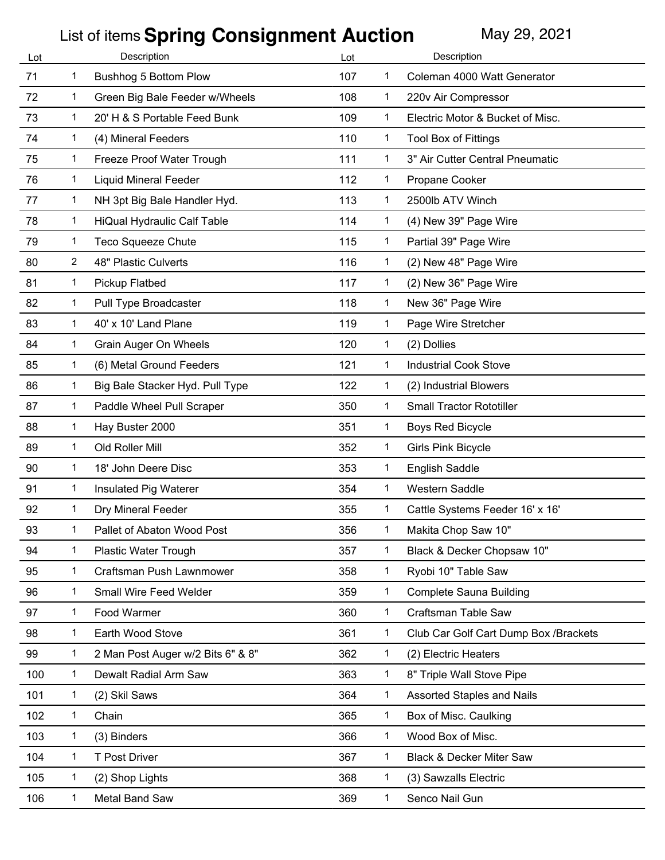| Lot | Description  |                                   | Lot |              | Description                           |
|-----|--------------|-----------------------------------|-----|--------------|---------------------------------------|
| 71  | 1            | Bushhog 5 Bottom Plow             | 107 | 1            | Coleman 4000 Watt Generator           |
| 72  | 1            | Green Big Bale Feeder w/Wheels    | 108 | $\mathbf 1$  | 220v Air Compressor                   |
| 73  | 1            | 20' H & S Portable Feed Bunk      | 109 | 1            | Electric Motor & Bucket of Misc.      |
| 74  | 1            | (4) Mineral Feeders               | 110 | 1            | <b>Tool Box of Fittings</b>           |
| 75  | 1            | Freeze Proof Water Trough         | 111 | $\mathbf 1$  | 3" Air Cutter Central Pneumatic       |
| 76  | 1            | <b>Liquid Mineral Feeder</b>      | 112 | 1            | Propane Cooker                        |
| 77  | 1            | NH 3pt Big Bale Handler Hyd.      | 113 | $\mathbf{1}$ | 2500lb ATV Winch                      |
| 78  | 1            | HiQual Hydraulic Calf Table       | 114 | $\mathbf 1$  | (4) New 39" Page Wire                 |
| 79  | 1            | <b>Teco Squeeze Chute</b>         | 115 | 1            | Partial 39" Page Wire                 |
| 80  | 2            | 48" Plastic Culverts              | 116 | 1            | (2) New 48" Page Wire                 |
| 81  | 1            | Pickup Flatbed                    | 117 | 1            | (2) New 36" Page Wire                 |
| 82  | 1            | Pull Type Broadcaster             | 118 | $\mathbf{1}$ | New 36" Page Wire                     |
| 83  | 1            | 40' x 10' Land Plane              | 119 | $\mathbf 1$  | Page Wire Stretcher                   |
| 84  | 1            | Grain Auger On Wheels             | 120 | $\mathbf 1$  | (2) Dollies                           |
| 85  | 1            | (6) Metal Ground Feeders          | 121 | 1            | <b>Industrial Cook Stove</b>          |
| 86  | 1            | Big Bale Stacker Hyd. Pull Type   | 122 | 1            | (2) Industrial Blowers                |
| 87  | 1            | Paddle Wheel Pull Scraper         | 350 | $\mathbf 1$  | <b>Small Tractor Rototiller</b>       |
| 88  | 1            | Hay Buster 2000                   | 351 | 1            | <b>Boys Red Bicycle</b>               |
| 89  | 1            | Old Roller Mill                   | 352 | $\mathbf 1$  | <b>Girls Pink Bicycle</b>             |
| 90  | 1            | 18' John Deere Disc               | 353 | 1            | <b>English Saddle</b>                 |
| 91  | 1            | Insulated Pig Waterer             | 354 | 1            | Western Saddle                        |
| 92  | 1            | Dry Mineral Feeder                | 355 | 1.           | Cattle Systems Feeder 16' x 16'       |
| 93  | 1            | Pallet of Abaton Wood Post        | 356 | 1            | Makita Chop Saw 10"                   |
| 94  | 1            | <b>Plastic Water Trough</b>       | 357 | 1            | Black & Decker Chopsaw 10"            |
| 95  | 1            | Craftsman Push Lawnmower          | 358 | $\mathbf{1}$ | Ryobi 10" Table Saw                   |
| 96  | 1            | Small Wire Feed Welder            | 359 | $\mathbf{1}$ | Complete Sauna Building               |
| 97  | 1            | Food Warmer                       | 360 | 1            | <b>Craftsman Table Saw</b>            |
| 98  | 1            | Earth Wood Stove                  | 361 | 1            | Club Car Golf Cart Dump Box /Brackets |
| 99  | 1            | 2 Man Post Auger w/2 Bits 6" & 8" | 362 | $\mathbf{1}$ | (2) Electric Heaters                  |
| 100 | $\mathbf{1}$ | Dewalt Radial Arm Saw             | 363 | $\mathbf{1}$ | 8" Triple Wall Stove Pipe             |
| 101 | 1            | (2) Skil Saws                     | 364 | $\mathbf{1}$ | Assorted Staples and Nails            |
| 102 | $\mathbf{1}$ | Chain                             | 365 | $\mathbf 1$  | Box of Misc. Caulking                 |
| 103 | 1            | (3) Binders                       | 366 | $\mathbf 1$  | Wood Box of Misc.                     |
| 104 | 1            | T Post Driver                     | 367 | 1            | <b>Black &amp; Decker Miter Saw</b>   |
| 105 | 1            | (2) Shop Lights                   | 368 | $\mathbf 1$  | (3) Sawzalls Electric                 |
| 106 | $\mathbf{1}$ | Metal Band Saw                    | 369 | 1            | Senco Nail Gun                        |
|     |              |                                   |     |              |                                       |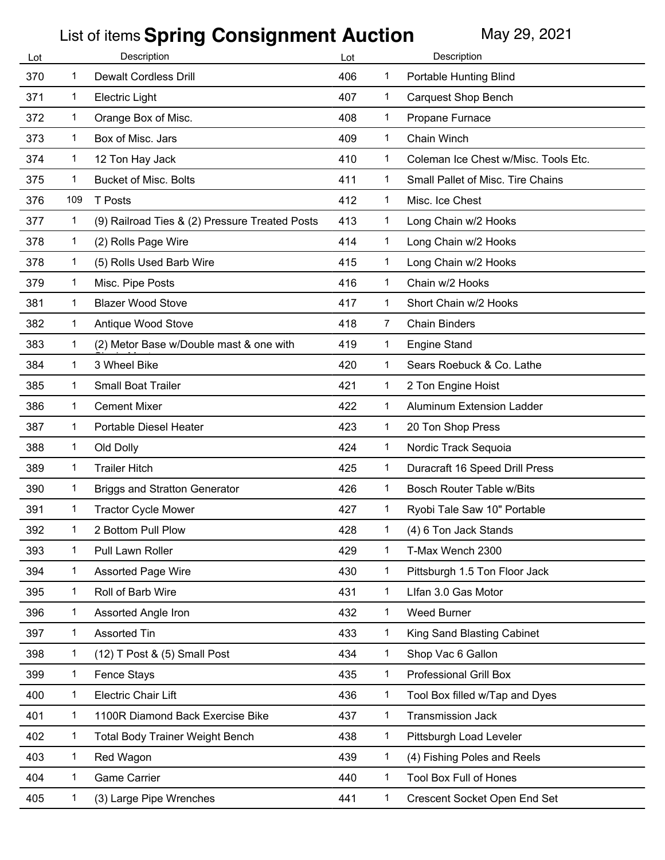| Lot | Description  |                                                | Lot |                | Description                          |
|-----|--------------|------------------------------------------------|-----|----------------|--------------------------------------|
| 370 | 1            | <b>Dewalt Cordless Drill</b>                   | 406 | 1              | <b>Portable Hunting Blind</b>        |
| 371 | 1            | <b>Electric Light</b>                          | 407 | 1              | <b>Carquest Shop Bench</b>           |
| 372 | 1            | Orange Box of Misc.                            | 408 | 1              | Propane Furnace                      |
| 373 | 1            | Box of Misc. Jars                              | 409 | 1              | Chain Winch                          |
| 374 | 1            | 12 Ton Hay Jack                                | 410 | 1              | Coleman Ice Chest w/Misc. Tools Etc. |
| 375 | 1            | <b>Bucket of Misc. Bolts</b>                   | 411 | 1              | Small Pallet of Misc. Tire Chains    |
| 376 | 109          | T Posts                                        | 412 | $\mathbf 1$    | Misc. Ice Chest                      |
| 377 | 1            | (9) Railroad Ties & (2) Pressure Treated Posts | 413 | 1              | Long Chain w/2 Hooks                 |
| 378 | 1            | (2) Rolls Page Wire                            | 414 | 1              | Long Chain w/2 Hooks                 |
| 378 | $\mathbf 1$  | (5) Rolls Used Barb Wire                       | 415 | 1              | Long Chain w/2 Hooks                 |
| 379 | 1            | Misc. Pipe Posts                               | 416 | 1              | Chain w/2 Hooks                      |
| 381 | 1            | <b>Blazer Wood Stove</b>                       | 417 | 1              | Short Chain w/2 Hooks                |
| 382 | 1            | Antique Wood Stove                             | 418 | $\overline{7}$ | <b>Chain Binders</b>                 |
| 383 | 1            | (2) Metor Base w/Double mast & one with        | 419 | 1              | <b>Engine Stand</b>                  |
| 384 | 1            | 3 Wheel Bike                                   | 420 | 1              | Sears Roebuck & Co. Lathe            |
| 385 | 1            | Small Boat Trailer                             | 421 | 1              | 2 Ton Engine Hoist                   |
| 386 | $\mathbf 1$  | <b>Cement Mixer</b>                            | 422 | 1              | Aluminum Extension Ladder            |
| 387 | 1            | Portable Diesel Heater                         | 423 | $\mathbf 1$    | 20 Ton Shop Press                    |
| 388 | $\mathbf{1}$ | Old Dolly                                      | 424 | $\mathbf{1}$   | Nordic Track Sequoia                 |
| 389 | 1            | <b>Trailer Hitch</b>                           | 425 | 1              | Duracraft 16 Speed Drill Press       |
| 390 | 1            | <b>Briggs and Stratton Generator</b>           | 426 | 1.             | <b>Bosch Router Table w/Bits</b>     |
| 391 | $\mathbf 1$  | <b>Tractor Cycle Mower</b>                     | 427 | 1.             | Ryobi Tale Saw 10" Portable          |
| 392 | 1            | 2 Bottom Pull Plow                             | 428 | 1              | (4) 6 Ton Jack Stands                |
| 393 | 1            | Pull Lawn Roller                               | 429 | 1              | T-Max Wench 2300                     |
| 394 | $\mathbf{1}$ | <b>Assorted Page Wire</b>                      | 430 | $\mathbf{1}$   | Pittsburgh 1.5 Ton Floor Jack        |
| 395 | 1            | Roll of Barb Wire                              | 431 | 1              | Llfan 3.0 Gas Motor                  |
| 396 | 1            | Assorted Angle Iron                            | 432 | 1              | <b>Weed Burner</b>                   |
| 397 | $\mathbf 1$  | <b>Assorted Tin</b>                            | 433 | $\mathbf 1$    | King Sand Blasting Cabinet           |
| 398 | 1            | (12) T Post & (5) Small Post                   | 434 | 1              | Shop Vac 6 Gallon                    |
| 399 | $\mathbf{1}$ | <b>Fence Stays</b>                             | 435 | $\mathbf{1}$   | <b>Professional Grill Box</b>        |
| 400 | $\mathbf{1}$ | <b>Electric Chair Lift</b>                     | 436 | 1              | Tool Box filled w/Tap and Dyes       |
| 401 | 1            | 1100R Diamond Back Exercise Bike               | 437 | $\mathbf 1$    | <b>Transmission Jack</b>             |
| 402 | 1            | <b>Total Body Trainer Weight Bench</b>         | 438 | 1              | Pittsburgh Load Leveler              |
| 403 | $\mathbf 1$  | Red Wagon                                      | 439 | 1              | (4) Fishing Poles and Reels          |
| 404 | $\mathbf 1$  | <b>Game Carrier</b>                            | 440 | $\mathbf 1$    | <b>Tool Box Full of Hones</b>        |
| 405 | $\mathbf{1}$ | (3) Large Pipe Wrenches                        | 441 | 1              | Crescent Socket Open End Set         |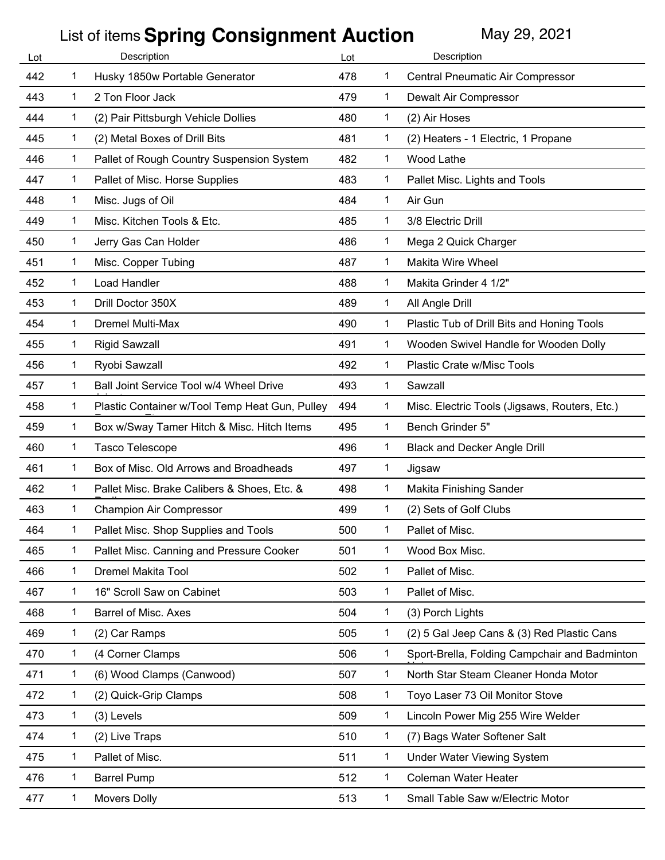| Lot | Description  |                                                | Lot |              | Description                                   |
|-----|--------------|------------------------------------------------|-----|--------------|-----------------------------------------------|
| 442 | 1            | Husky 1850w Portable Generator                 | 478 | 1            | Central Pneumatic Air Compressor              |
| 443 | 1            | 2 Ton Floor Jack                               | 479 | $\mathbf 1$  | Dewalt Air Compressor                         |
| 444 | 1            | (2) Pair Pittsburgh Vehicle Dollies            | 480 | 1            | (2) Air Hoses                                 |
| 445 | 1            | (2) Metal Boxes of Drill Bits                  | 481 | 1            | (2) Heaters - 1 Electric, 1 Propane           |
| 446 | 1            | Pallet of Rough Country Suspension System      | 482 | $\mathbf 1$  | Wood Lathe                                    |
| 447 | 1            | Pallet of Misc. Horse Supplies                 | 483 | 1            | Pallet Misc. Lights and Tools                 |
| 448 | 1            | Misc. Jugs of Oil                              | 484 | $\mathbf 1$  | Air Gun                                       |
| 449 | 1            | Misc. Kitchen Tools & Etc.                     | 485 | 1            | 3/8 Electric Drill                            |
| 450 | 1            | Jerry Gas Can Holder                           | 486 | 1            | Mega 2 Quick Charger                          |
| 451 | 1            | Misc. Copper Tubing                            | 487 | 1            | <b>Makita Wire Wheel</b>                      |
| 452 | 1            | Load Handler                                   | 488 | 1            | Makita Grinder 4 1/2"                         |
| 453 | 1            | Drill Doctor 350X                              | 489 | $\mathbf 1$  | All Angle Drill                               |
| 454 | 1            | <b>Dremel Multi-Max</b>                        | 490 | $\mathbf 1$  | Plastic Tub of Drill Bits and Honing Tools    |
| 455 | 1            | <b>Rigid Sawzall</b>                           | 491 | $\mathbf 1$  | Wooden Swivel Handle for Wooden Dolly         |
| 456 | 1            | Ryobi Sawzall                                  | 492 | 1            | Plastic Crate w/Misc Tools                    |
| 457 | 1            | Ball Joint Service Tool w/4 Wheel Drive        | 493 | 1            | Sawzall                                       |
| 458 | 1            | Plastic Container w/Tool Temp Heat Gun, Pulley | 494 | 1            | Misc. Electric Tools (Jigsaws, Routers, Etc.) |
| 459 | 1            | Box w/Sway Tamer Hitch & Misc. Hitch Items     | 495 | 1            | Bench Grinder 5"                              |
| 460 | 1            | Tasco Telescope                                | 496 | 1            | <b>Black and Decker Angle Drill</b>           |
| 461 | 1            | Box of Misc. Old Arrows and Broadheads         | 497 | 1            | Jigsaw                                        |
| 462 | 1            | Pallet Misc. Brake Calibers & Shoes, Etc. &    | 498 | 1            | Makita Finishing Sander                       |
| 463 | 1            | <b>Champion Air Compressor</b>                 | 499 | 1.           | (2) Sets of Golf Clubs                        |
| 464 | 1            | Pallet Misc. Shop Supplies and Tools           | 500 | 1            | Pallet of Misc.                               |
| 465 | 1            | Pallet Misc. Canning and Pressure Cooker       | 501 | 1            | Wood Box Misc.                                |
| 466 | $\mathbf{1}$ | <b>Dremel Makita Tool</b>                      | 502 | $\mathbf 1$  | Pallet of Misc.                               |
| 467 | 1            | 16" Scroll Saw on Cabinet                      | 503 | 1            | Pallet of Misc.                               |
| 468 | 1            | Barrel of Misc. Axes                           | 504 | 1            | (3) Porch Lights                              |
| 469 | 1            | (2) Car Ramps                                  | 505 | 1            | (2) 5 Gal Jeep Cans & (3) Red Plastic Cans    |
| 470 | 1            | (4 Corner Clamps                               | 506 | 1            | Sport-Brella, Folding Campchair and Badminton |
| 471 | $\mathbf{1}$ | (6) Wood Clamps (Canwood)                      | 507 | $\mathbf{1}$ | North Star Steam Cleaner Honda Motor          |
| 472 | 1            | (2) Quick-Grip Clamps                          | 508 | $\mathbf{1}$ | Toyo Laser 73 Oil Monitor Stove               |
| 473 | 1            | (3) Levels                                     | 509 | $\mathbf 1$  | Lincoln Power Mig 255 Wire Welder             |
| 474 | 1            | (2) Live Traps                                 | 510 | $\mathbf 1$  | (7) Bags Water Softener Salt                  |
| 475 | 1            | Pallet of Misc.                                | 511 | 1            | <b>Under Water Viewing System</b>             |
| 476 | $\mathbf 1$  | <b>Barrel Pump</b>                             | 512 | $\mathbf 1$  | Coleman Water Heater                          |
| 477 | 1            | <b>Movers Dolly</b>                            | 513 | 1            | Small Table Saw w/Electric Motor              |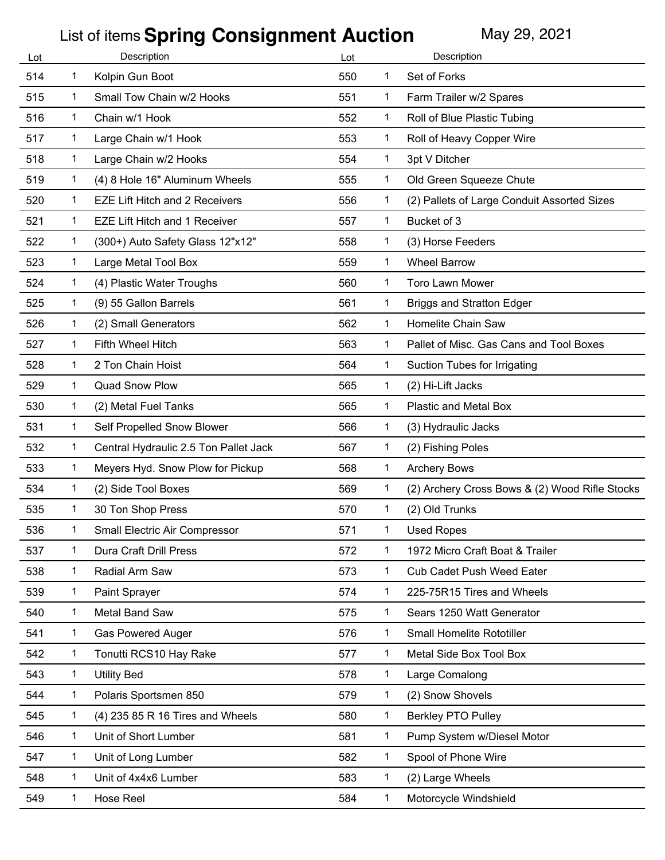| Lot |              | Description                           | Lot |              | Description                                    |
|-----|--------------|---------------------------------------|-----|--------------|------------------------------------------------|
| 514 | 1            | Kolpin Gun Boot                       | 550 | 1            | Set of Forks                                   |
| 515 | 1            | Small Tow Chain w/2 Hooks             | 551 | 1.           | Farm Trailer w/2 Spares                        |
| 516 | 1            | Chain w/1 Hook                        | 552 | 1.           | Roll of Blue Plastic Tubing                    |
| 517 | 1            | Large Chain w/1 Hook                  | 553 | 1            | Roll of Heavy Copper Wire                      |
| 518 | 1            | Large Chain w/2 Hooks                 | 554 | 1            | 3pt V Ditcher                                  |
| 519 | 1            | (4) 8 Hole 16" Aluminum Wheels        | 555 | 1            | Old Green Squeeze Chute                        |
| 520 | $\mathbf 1$  | <b>EZE Lift Hitch and 2 Receivers</b> | 556 | 1            | (2) Pallets of Large Conduit Assorted Sizes    |
| 521 | 1            | <b>EZE Lift Hitch and 1 Receiver</b>  | 557 | 1            | Bucket of 3                                    |
| 522 | 1            | (300+) Auto Safety Glass 12"x12"      | 558 | 1            | (3) Horse Feeders                              |
| 523 | $\mathbf{1}$ | Large Metal Tool Box                  | 559 | 1            | <b>Wheel Barrow</b>                            |
| 524 | 1            | (4) Plastic Water Troughs             | 560 | 1            | Toro Lawn Mower                                |
| 525 | $\mathbf{1}$ | (9) 55 Gallon Barrels                 | 561 | 1            | <b>Briggs and Stratton Edger</b>               |
| 526 | $\mathbf{1}$ | (2) Small Generators                  | 562 | 1            | Homelite Chain Saw                             |
| 527 | 1            | Fifth Wheel Hitch                     | 563 | 1            | Pallet of Misc. Gas Cans and Tool Boxes        |
| 528 | 1            | 2 Ton Chain Hoist                     | 564 | 1            | Suction Tubes for Irrigating                   |
| 529 | 1            | Quad Snow Plow                        | 565 | 1            | (2) Hi-Lift Jacks                              |
| 530 | $\mathbf{1}$ | (2) Metal Fuel Tanks                  | 565 | 1            | Plastic and Metal Box                          |
| 531 | 1            | Self Propelled Snow Blower            | 566 | 1            | (3) Hydraulic Jacks                            |
| 532 | $\mathbf{1}$ | Central Hydraulic 2.5 Ton Pallet Jack | 567 | 1            | (2) Fishing Poles                              |
| 533 | 1            | Meyers Hyd. Snow Plow for Pickup      | 568 | 1            | <b>Archery Bows</b>                            |
| 534 | 1            | (2) Side Tool Boxes                   | 569 | 1            | (2) Archery Cross Bows & (2) Wood Rifle Stocks |
| 535 | 1            | 30 Ton Shop Press                     | 570 | 1            | (2) Old Trunks                                 |
| 536 | 1            | Small Electric Air Compressor         | 571 | 1            | <b>Used Ropes</b>                              |
| 537 | 1            | Dura Craft Drill Press                | 572 | 1            | 1972 Micro Craft Boat & Trailer                |
| 538 | 1            | Radial Arm Saw                        | 573 | $\mathbf{1}$ | Cub Cadet Push Weed Eater                      |
| 539 | 1            | Paint Sprayer                         | 574 | 1            | 225-75R15 Tires and Wheels                     |
| 540 | 1            | Metal Band Saw                        | 575 | 1            | Sears 1250 Watt Generator                      |
| 541 | 1            | <b>Gas Powered Auger</b>              | 576 | $\mathbf{1}$ | Small Homelite Rototiller                      |
| 542 | 1            | Tonutti RCS10 Hay Rake                | 577 | 1            | Metal Side Box Tool Box                        |
| 543 | 1            | <b>Utility Bed</b>                    | 578 | 1            | Large Comalong                                 |
| 544 | 1            | Polaris Sportsmen 850                 | 579 | 1            | (2) Snow Shovels                               |
| 545 | 1            | (4) 235 85 R 16 Tires and Wheels      | 580 | 1            | <b>Berkley PTO Pulley</b>                      |
| 546 | 1            | Unit of Short Lumber                  | 581 | 1            | Pump System w/Diesel Motor                     |
| 547 | 1            | Unit of Long Lumber                   | 582 | 1            | Spool of Phone Wire                            |
| 548 | $\mathbf{1}$ | Unit of 4x4x6 Lumber                  | 583 | 1            | (2) Large Wheels                               |
| 549 | 1            | Hose Reel                             | 584 | 1            | Motorcycle Windshield                          |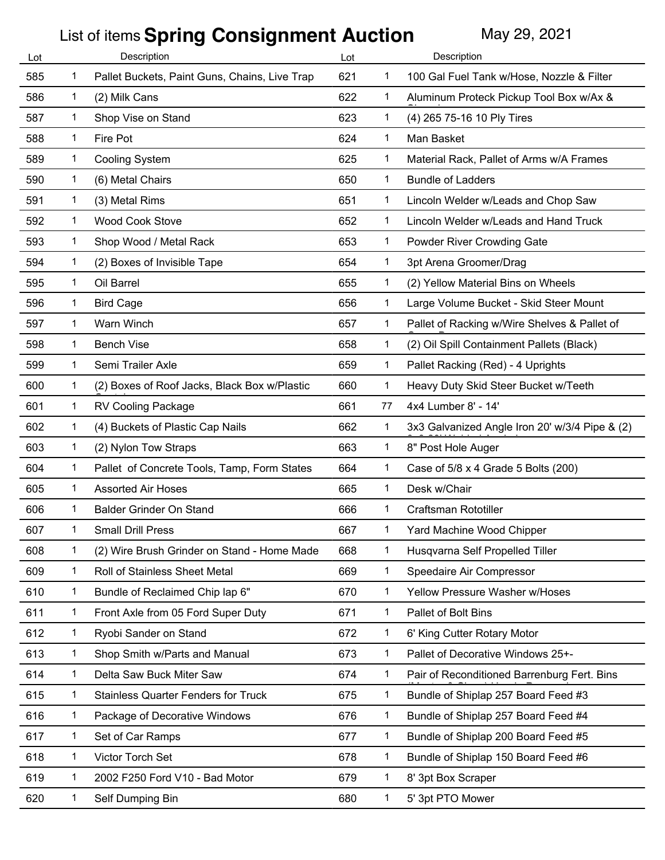| Lot | Description  |                                               | Lot |              | Description                                    |
|-----|--------------|-----------------------------------------------|-----|--------------|------------------------------------------------|
| 585 | 1            | Pallet Buckets, Paint Guns, Chains, Live Trap | 621 | 1            | 100 Gal Fuel Tank w/Hose, Nozzle & Filter      |
| 586 | 1            | (2) Milk Cans                                 | 622 | 1            | Aluminum Proteck Pickup Tool Box w/Ax &        |
| 587 | 1            | Shop Vise on Stand                            | 623 | 1            | (4) 265 75-16 10 Ply Tires                     |
| 588 | 1            | Fire Pot                                      | 624 | 1            | Man Basket                                     |
| 589 | 1            | <b>Cooling System</b>                         | 625 | 1            | Material Rack, Pallet of Arms w/A Frames       |
| 590 | 1            | (6) Metal Chairs                              | 650 | 1            | <b>Bundle of Ladders</b>                       |
| 591 | $\mathbf{1}$ | (3) Metal Rims                                | 651 | 1.           | Lincoln Welder w/Leads and Chop Saw            |
| 592 | 1            | <b>Wood Cook Stove</b>                        | 652 | 1            | Lincoln Welder w/Leads and Hand Truck          |
| 593 | 1            | Shop Wood / Metal Rack                        | 653 | 1.           | Powder River Crowding Gate                     |
| 594 | $\mathbf{1}$ | (2) Boxes of Invisible Tape                   | 654 | 1.           | 3pt Arena Groomer/Drag                         |
| 595 | 1            | Oil Barrel                                    | 655 | 1            | (2) Yellow Material Bins on Wheels             |
| 596 | 1            | <b>Bird Cage</b>                              | 656 | 1            | Large Volume Bucket - Skid Steer Mount         |
| 597 | 1            | Warn Winch                                    | 657 | 1.           | Pallet of Racking w/Wire Shelves & Pallet of   |
| 598 | 1            | <b>Bench Vise</b>                             | 658 | 1            | (2) Oil Spill Containment Pallets (Black)      |
| 599 | 1            | Semi Trailer Axle                             | 659 | 1.           | Pallet Racking (Red) - 4 Uprights              |
| 600 | 1            | (2) Boxes of Roof Jacks, Black Box w/Plastic  | 660 | 1.           | Heavy Duty Skid Steer Bucket w/Teeth           |
| 601 | 1            | <b>RV Cooling Package</b>                     | 661 | 77           | 4x4 Lumber 8' - 14'                            |
| 602 | 1            | (4) Buckets of Plastic Cap Nails              | 662 | 1            | 3x3 Galvanized Angle Iron 20' w/3/4 Pipe & (2) |
| 603 | $\mathbf{1}$ | (2) Nylon Tow Straps                          | 663 | 1            | 8" Post Hole Auger                             |
| 604 | 1            | Pallet of Concrete Tools, Tamp, Form States   | 664 | 1            | Case of 5/8 x 4 Grade 5 Bolts (200)            |
| 605 | 1            | <b>Assorted Air Hoses</b>                     | 665 | 1            | Desk w/Chair                                   |
| 606 | 1            | Balder Grinder On Stand                       | 666 | 1            | <b>Craftsman Rototiller</b>                    |
| 607 | 1            | <b>Small Drill Press</b>                      | 667 | 1            | Yard Machine Wood Chipper                      |
| 608 | 1            | (2) Wire Brush Grinder on Stand - Home Made   | 668 | 1            | Husqvarna Self Propelled Tiller                |
| 609 | 1            | Roll of Stainless Sheet Metal                 | 669 | $\mathbf{1}$ | Speedaire Air Compressor                       |
| 610 | 1            | Bundle of Reclaimed Chip lap 6"               | 670 | 1            | Yellow Pressure Washer w/Hoses                 |
| 611 | 1            | Front Axle from 05 Ford Super Duty            | 671 | 1            | Pallet of Bolt Bins                            |
| 612 | 1            | Ryobi Sander on Stand                         | 672 | 1            | 6' King Cutter Rotary Motor                    |
| 613 | 1            | Shop Smith w/Parts and Manual                 | 673 | 1            | Pallet of Decorative Windows 25+-              |
| 614 | 1            | Delta Saw Buck Miter Saw                      | 674 | 1            | Pair of Reconditioned Barrenburg Fert. Bins    |
| 615 | 1            | <b>Stainless Quarter Fenders for Truck</b>    | 675 | 1            | Bundle of Shiplap 257 Board Feed #3            |
| 616 | 1            | Package of Decorative Windows                 | 676 | 1            | Bundle of Shiplap 257 Board Feed #4            |
| 617 | 1            | Set of Car Ramps                              | 677 | 1            | Bundle of Shiplap 200 Board Feed #5            |
| 618 | 1            | Victor Torch Set                              | 678 | 1            | Bundle of Shiplap 150 Board Feed #6            |
| 619 | 1            | 2002 F250 Ford V10 - Bad Motor                | 679 | 1            | 8' 3pt Box Scraper                             |
| 620 | 1            | Self Dumping Bin                              | 680 | 1            | 5' 3pt PTO Mower                               |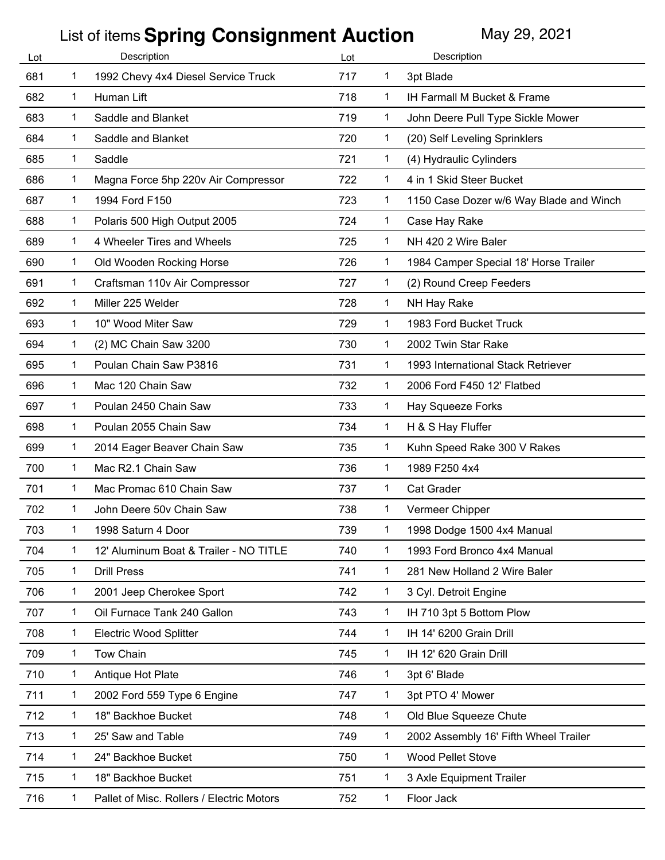| Lot | Description |                                           | Lot |              | Description                             |
|-----|-------------|-------------------------------------------|-----|--------------|-----------------------------------------|
| 681 | 1           | 1992 Chevy 4x4 Diesel Service Truck       | 717 | 1            | 3pt Blade                               |
| 682 | 1           | Human Lift                                | 718 | 1            | IH Farmall M Bucket & Frame             |
| 683 | 1           | Saddle and Blanket                        | 719 | 1            | John Deere Pull Type Sickle Mower       |
| 684 | 1           | Saddle and Blanket                        | 720 | 1            | (20) Self Leveling Sprinklers           |
| 685 | 1           | Saddle                                    | 721 | $\mathbf{1}$ | (4) Hydraulic Cylinders                 |
| 686 | 1           | Magna Force 5hp 220v Air Compressor       | 722 | 1            | 4 in 1 Skid Steer Bucket                |
| 687 | 1           | 1994 Ford F150                            | 723 | 1            | 1150 Case Dozer w/6 Way Blade and Winch |
| 688 | 1           | Polaris 500 High Output 2005              | 724 | 1            | Case Hay Rake                           |
| 689 | 1           | 4 Wheeler Tires and Wheels                | 725 | 1            | NH 420 2 Wire Baler                     |
| 690 | 1           | Old Wooden Rocking Horse                  | 726 | 1            | 1984 Camper Special 18' Horse Trailer   |
| 691 | 1           | Craftsman 110v Air Compressor             | 727 | 1            | (2) Round Creep Feeders                 |
| 692 | 1           | Miller 225 Welder                         | 728 | $\mathbf{1}$ | NH Hay Rake                             |
| 693 | 1           | 10" Wood Miter Saw                        | 729 | 1            | 1983 Ford Bucket Truck                  |
| 694 | 1           | (2) MC Chain Saw 3200                     | 730 | 1            | 2002 Twin Star Rake                     |
| 695 | 1           | Poulan Chain Saw P3816                    | 731 | 1            | 1993 International Stack Retriever      |
| 696 | 1           | Mac 120 Chain Saw                         | 732 | 1            | 2006 Ford F450 12' Flatbed              |
| 697 | 1           | Poulan 2450 Chain Saw                     | 733 | $\mathbf{1}$ | Hay Squeeze Forks                       |
| 698 | 1           | Poulan 2055 Chain Saw                     | 734 | 1            | H & S Hay Fluffer                       |
| 699 | 1           | 2014 Eager Beaver Chain Saw               | 735 | 1            | Kuhn Speed Rake 300 V Rakes             |
| 700 | 1           | Mac R2.1 Chain Saw                        | 736 | 1            | 1989 F250 4x4                           |
| 701 | 1           | Mac Promac 610 Chain Saw                  | 737 | 1            | <b>Cat Grader</b>                       |
| 702 | 1           | John Deere 50v Chain Saw                  | 738 | 1            | Vermeer Chipper                         |
| 703 | 1           | 1998 Saturn 4 Door                        | 739 | 1            | 1998 Dodge 1500 4x4 Manual              |
| 704 | 1           | 12' Aluminum Boat & Trailer - NO TITLE    | 740 | 1            | 1993 Ford Bronco 4x4 Manual             |
| 705 | 1           | <b>Drill Press</b>                        | 741 | 1            | 281 New Holland 2 Wire Baler            |
| 706 | 1           | 2001 Jeep Cherokee Sport                  | 742 | 1            | 3 Cyl. Detroit Engine                   |
| 707 | 1           | Oil Furnace Tank 240 Gallon               | 743 | 1            | IH 710 3pt 5 Bottom Plow                |
| 708 | 1           | <b>Electric Wood Splitter</b>             | 744 | 1            | IH 14' 6200 Grain Drill                 |
| 709 | 1           | Tow Chain                                 | 745 | 1            | IH 12' 620 Grain Drill                  |
| 710 | 1           | Antique Hot Plate                         | 746 | $\mathbf{1}$ | 3pt 6' Blade                            |
| 711 | 1           | 2002 Ford 559 Type 6 Engine               | 747 | 1            | 3pt PTO 4' Mower                        |
| 712 | 1           | 18" Backhoe Bucket                        | 748 | 1            | Old Blue Squeeze Chute                  |
| 713 | 1           | 25' Saw and Table                         | 749 | 1            | 2002 Assembly 16' Fifth Wheel Trailer   |
| 714 | 1           | 24" Backhoe Bucket                        | 750 | 1            | <b>Wood Pellet Stove</b>                |
| 715 | 1           | 18" Backhoe Bucket                        | 751 | 1            | 3 Axle Equipment Trailer                |
| 716 | 1           | Pallet of Misc. Rollers / Electric Motors | 752 | 1            | Floor Jack                              |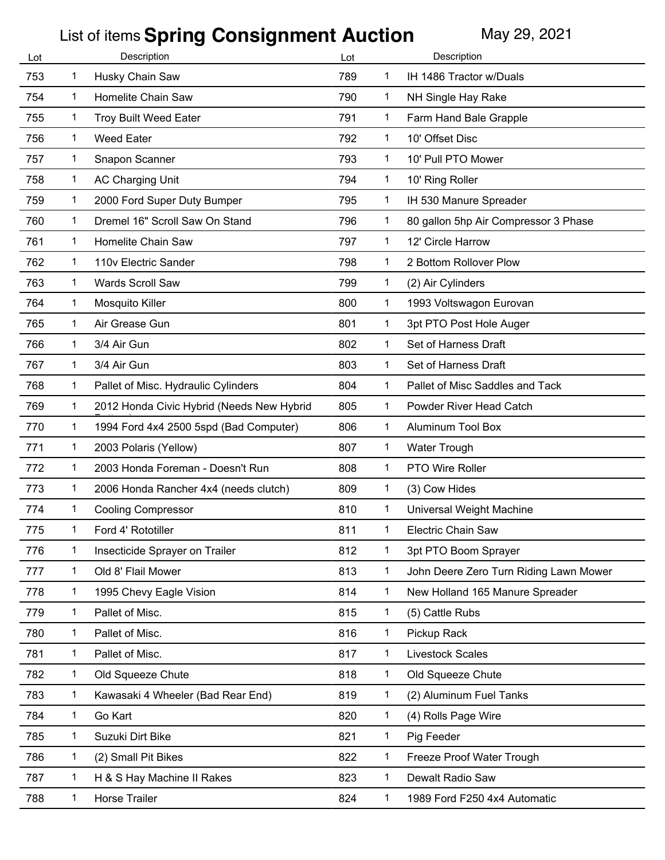| Lot | Description  |                                           | Lot |              | Description                            |
|-----|--------------|-------------------------------------------|-----|--------------|----------------------------------------|
| 753 | 1            | Husky Chain Saw                           | 789 | 1            | IH 1486 Tractor w/Duals                |
| 754 | 1            | Homelite Chain Saw                        | 790 | 1            | NH Single Hay Rake                     |
| 755 | 1            | <b>Troy Built Weed Eater</b>              | 791 | 1            | Farm Hand Bale Grapple                 |
| 756 | 1            | <b>Weed Eater</b>                         | 792 | 1            | 10' Offset Disc                        |
| 757 | 1            | Snapon Scanner                            | 793 | 1            | 10' Pull PTO Mower                     |
| 758 | 1            | AC Charging Unit                          | 794 | 1            | 10' Ring Roller                        |
| 759 | $\mathbf 1$  | 2000 Ford Super Duty Bumper               | 795 | $\mathbf 1$  | IH 530 Manure Spreader                 |
| 760 | 1            | Dremel 16" Scroll Saw On Stand            | 796 | 1            | 80 gallon 5hp Air Compressor 3 Phase   |
| 761 | 1            | Homelite Chain Saw                        | 797 | 1            | 12' Circle Harrow                      |
| 762 | $\mathbf 1$  | 110v Electric Sander                      | 798 | 1            | 2 Bottom Rollover Plow                 |
| 763 | 1            | <b>Wards Scroll Saw</b>                   | 799 | 1            | (2) Air Cylinders                      |
| 764 | 1            | Mosquito Killer                           | 800 | 1            | 1993 Voltswagon Eurovan                |
| 765 | 1            | Air Grease Gun                            | 801 | 1            | 3pt PTO Post Hole Auger                |
| 766 | 1            | 3/4 Air Gun                               | 802 | 1            | Set of Harness Draft                   |
| 767 | 1            | 3/4 Air Gun                               | 803 | 1            | Set of Harness Draft                   |
| 768 | 1            | Pallet of Misc. Hydraulic Cylinders       | 804 | 1            | Pallet of Misc Saddles and Tack        |
| 769 | 1            | 2012 Honda Civic Hybrid (Needs New Hybrid | 805 | $\mathbf 1$  | Powder River Head Catch                |
| 770 | 1            | 1994 Ford 4x4 2500 5spd (Bad Computer)    | 806 | 1            | <b>Aluminum Tool Box</b>               |
| 771 | $\mathbf 1$  | 2003 Polaris (Yellow)                     | 807 | 1            | <b>Water Trough</b>                    |
| 772 | 1            | 2003 Honda Foreman - Doesn't Run          | 808 | 1            | PTO Wire Roller                        |
| 773 | 1            | 2006 Honda Rancher 4x4 (needs clutch)     | 809 | 1            | (3) Cow Hides                          |
| 774 | 1            | <b>Cooling Compressor</b>                 | 810 | 1            | Universal Weight Machine               |
| 775 | 1            | Ford 4' Rototiller                        | 811 | 1            | <b>Electric Chain Saw</b>              |
| 776 | $\mathbf 1$  | Insecticide Sprayer on Trailer            | 812 | 1            | 3pt PTO Boom Sprayer                   |
| 777 | $\mathbf{1}$ | Old 8' Flail Mower                        | 813 | $\mathbf 1$  | John Deere Zero Turn Riding Lawn Mower |
| 778 | 1            | 1995 Chevy Eagle Vision                   | 814 | 1            | New Holland 165 Manure Spreader        |
| 779 | $\mathbf 1$  | Pallet of Misc.                           | 815 | 1            | (5) Cattle Rubs                        |
| 780 | $\mathbf 1$  | Pallet of Misc.                           | 816 | $\mathbf 1$  | Pickup Rack                            |
| 781 | 1            | Pallet of Misc.                           | 817 | $\mathbf{1}$ | <b>Livestock Scales</b>                |
| 782 | $\mathbf{1}$ | Old Squeeze Chute                         | 818 | $\mathbf{1}$ | Old Squeeze Chute                      |
| 783 | $\mathbf 1$  | Kawasaki 4 Wheeler (Bad Rear End)         | 819 | $\mathbf{1}$ | (2) Aluminum Fuel Tanks                |
| 784 | 1            | Go Kart                                   | 820 | 1            | (4) Rolls Page Wire                    |
| 785 | 1            | Suzuki Dirt Bike                          | 821 | 1            | Pig Feeder                             |
| 786 | 1            | (2) Small Pit Bikes                       | 822 | 1            | Freeze Proof Water Trough              |
| 787 | $\mathbf 1$  | H & S Hay Machine II Rakes                | 823 | $\mathbf 1$  | Dewalt Radio Saw                       |
| 788 | 1            | Horse Trailer                             | 824 | 1            | 1989 Ford F250 4x4 Automatic           |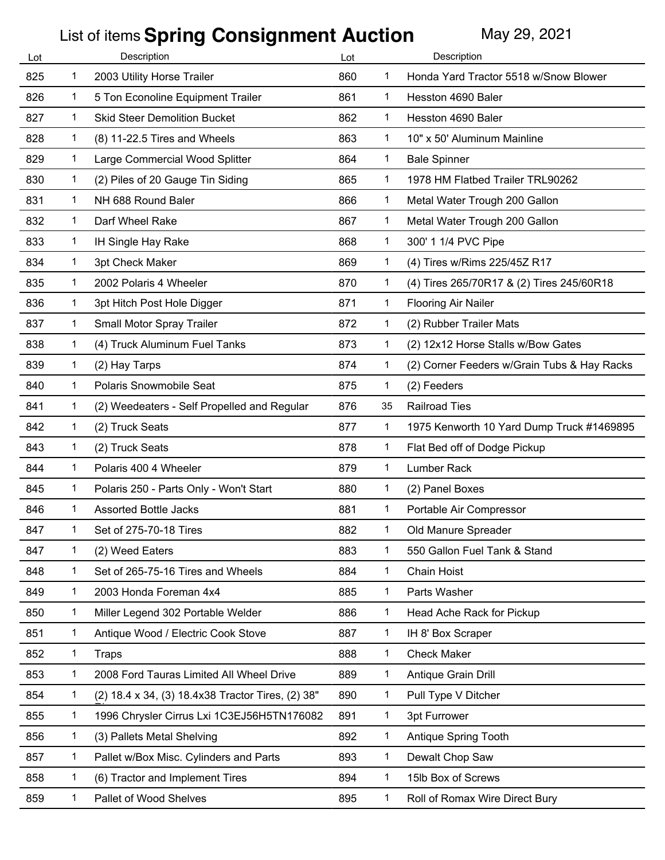|              |                                                   | Lot         |              | Description                                 |
|--------------|---------------------------------------------------|-------------|--------------|---------------------------------------------|
| 1            | 2003 Utility Horse Trailer                        | 860         | 1            | Honda Yard Tractor 5518 w/Snow Blower       |
| $\mathbf 1$  | 5 Ton Econoline Equipment Trailer                 | 861         | $\mathbf 1$  | Hesston 4690 Baler                          |
| 1            | <b>Skid Steer Demolition Bucket</b>               | 862         | 1            | Hesston 4690 Baler                          |
| 1            | (8) 11-22.5 Tires and Wheels                      | 863         | 1            | 10" x 50' Aluminum Mainline                 |
| 1            | Large Commercial Wood Splitter                    | 864         | 1            | <b>Bale Spinner</b>                         |
| 1            | (2) Piles of 20 Gauge Tin Siding                  | 865         | 1            | 1978 HM Flatbed Trailer TRL90262            |
| $\mathbf 1$  | NH 688 Round Baler                                | 866         | $\mathbf{1}$ | Metal Water Trough 200 Gallon               |
| 1            | Darf Wheel Rake                                   | 867         | 1            | Metal Water Trough 200 Gallon               |
| 1            | IH Single Hay Rake                                | 868         | 1            | 300' 1 1/4 PVC Pipe                         |
| 1            | 3pt Check Maker                                   | 869         | 1            | (4) Tires w/Rims 225/45Z R17                |
| 1            | 2002 Polaris 4 Wheeler                            | 870         | 1            | (4) Tires 265/70R17 & (2) Tires 245/60R18   |
| 1            | 3pt Hitch Post Hole Digger                        | 871         | 1            | <b>Flooring Air Nailer</b>                  |
| 1            | Small Motor Spray Trailer                         | 872         | 1            | (2) Rubber Trailer Mats                     |
| $\mathbf 1$  | (4) Truck Aluminum Fuel Tanks                     | 873         | 1            | (2) 12x12 Horse Stalls w/Bow Gates          |
| 1            | (2) Hay Tarps                                     | 874         | 1            | (2) Corner Feeders w/Grain Tubs & Hay Racks |
| 1            | Polaris Snowmobile Seat                           | 875         | 1            | (2) Feeders                                 |
| 1            | (2) Weedeaters - Self Propelled and Regular       | 876         | 35           | <b>Railroad Ties</b>                        |
| 1            | (2) Truck Seats                                   | 877         | 1            | 1975 Kenworth 10 Yard Dump Truck #1469895   |
| $\mathbf 1$  | (2) Truck Seats                                   | 878         | $\mathbf 1$  | Flat Bed off of Dodge Pickup                |
| 1            | Polaris 400 4 Wheeler                             | 879         | 1            | Lumber Rack                                 |
| 1            | Polaris 250 - Parts Only - Won't Start            | 880         | 1            | (2) Panel Boxes                             |
| 1            | <b>Assorted Bottle Jacks</b>                      | 881         | 1            | Portable Air Compressor                     |
| 1            | Set of 275-70-18 Tires                            | 882         | 1            | Old Manure Spreader                         |
| 1            | (2) Weed Eaters                                   | 883         | 1            | 550 Gallon Fuel Tank & Stand                |
| $\mathbf{1}$ | Set of 265-75-16 Tires and Wheels                 | 884         | $\mathbf{1}$ | <b>Chain Hoist</b>                          |
| 1            | 2003 Honda Foreman 4x4                            | 885         | 1            | Parts Washer                                |
| 1            | Miller Legend 302 Portable Welder                 | 886         | 1            | Head Ache Rack for Pickup                   |
| 1            | Antique Wood / Electric Cook Stove                | 887         | 1            | IH 8' Box Scraper                           |
| 1            | <b>Traps</b>                                      | 888         | 1            | <b>Check Maker</b>                          |
| $\mathbf 1$  | 2008 Ford Tauras Limited All Wheel Drive          | 889         | $\mathbf{1}$ | Antique Grain Drill                         |
| 1            | (2) 18.4 x 34, (3) 18.4x38 Tractor Tires, (2) 38" | 890         | $\mathbf{1}$ | Pull Type V Ditcher                         |
| $\mathbf{1}$ | 1996 Chrysler Cirrus Lxi 1C3EJ56H5TN176082        | 891         | $\mathbf{1}$ | 3pt Furrower                                |
| 1            | (3) Pallets Metal Shelving                        | 892         | 1            | Antique Spring Tooth                        |
| 1            | Pallet w/Box Misc. Cylinders and Parts            | 893         | 1            | Dewalt Chop Saw                             |
| 1            | (6) Tractor and Implement Tires                   | 894         | $\mathbf{1}$ | 15lb Box of Screws                          |
|              |                                                   |             |              |                                             |
|              |                                                   | Description |              |                                             |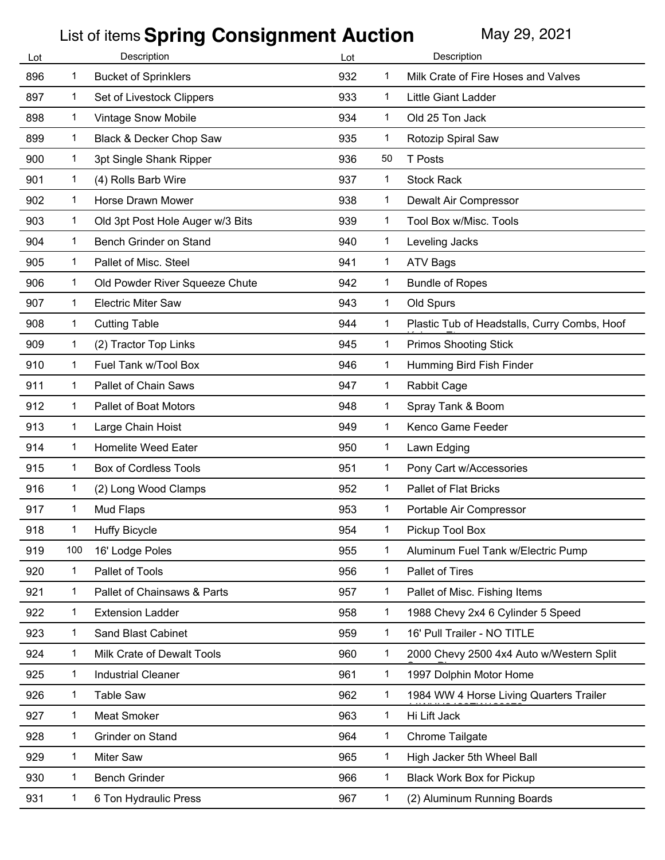| Lot |     | Description                      | Lot |              | Description                                  |
|-----|-----|----------------------------------|-----|--------------|----------------------------------------------|
| 896 | 1   | <b>Bucket of Sprinklers</b>      | 932 | 1            | Milk Crate of Fire Hoses and Valves          |
| 897 | 1   | Set of Livestock Clippers        | 933 | 1            | Little Giant Ladder                          |
| 898 | 1   | <b>Vintage Snow Mobile</b>       | 934 | 1            | Old 25 Ton Jack                              |
| 899 | 1   | Black & Decker Chop Saw          | 935 | 1            | Rotozip Spiral Saw                           |
| 900 | 1   | 3pt Single Shank Ripper          | 936 | 50           | <b>T</b> Posts                               |
| 901 | 1   | (4) Rolls Barb Wire              | 937 | 1            | <b>Stock Rack</b>                            |
| 902 | 1   | Horse Drawn Mower                | 938 | $\mathbf{1}$ | Dewalt Air Compressor                        |
| 903 | 1   | Old 3pt Post Hole Auger w/3 Bits | 939 | 1            | Tool Box w/Misc. Tools                       |
| 904 | 1   | Bench Grinder on Stand           | 940 | 1            | Leveling Jacks                               |
| 905 | 1   | Pallet of Misc. Steel            | 941 | 1            | <b>ATV Bags</b>                              |
| 906 | 1   | Old Powder River Squeeze Chute   | 942 | 1            | <b>Bundle of Ropes</b>                       |
| 907 | 1   | <b>Electric Miter Saw</b>        | 943 | $\mathbf{1}$ | Old Spurs                                    |
| 908 | 1   | <b>Cutting Table</b>             | 944 | $\mathbf{1}$ | Plastic Tub of Headstalls, Curry Combs, Hoof |
| 909 | 1   | (2) Tractor Top Links            | 945 | $\mathbf 1$  | <b>Primos Shooting Stick</b>                 |
| 910 | 1   | Fuel Tank w/Tool Box             | 946 | $\mathbf 1$  | Humming Bird Fish Finder                     |
| 911 | 1   | Pallet of Chain Saws             | 947 | 1            | <b>Rabbit Cage</b>                           |
| 912 | 1   | <b>Pallet of Boat Motors</b>     | 948 | $\mathbf 1$  | Spray Tank & Boom                            |
| 913 | 1   | Large Chain Hoist                | 949 | $\mathbf{1}$ | Kenco Game Feeder                            |
| 914 | 1   | <b>Homelite Weed Eater</b>       | 950 | $\mathbf{1}$ | Lawn Edging                                  |
| 915 | 1   | <b>Box of Cordless Tools</b>     | 951 | 1            | Pony Cart w/Accessories                      |
| 916 | 1   | (2) Long Wood Clamps             | 952 | 1            | <b>Pallet of Flat Bricks</b>                 |
| 917 | 1   | Mud Flaps                        | 953 | 1            | Portable Air Compressor                      |
| 918 | 1   | <b>Huffy Bicycle</b>             | 954 | 1            | Pickup Tool Box                              |
| 919 | 100 | 16' Lodge Poles                  | 955 | $\mathbf 1$  | Aluminum Fuel Tank w/Electric Pump           |
| 920 | 1   | Pallet of Tools                  | 956 | $\mathbf{1}$ | Pallet of Tires                              |
| 921 | 1   | Pallet of Chainsaws & Parts      | 957 | $\mathbf 1$  | Pallet of Misc. Fishing Items                |
| 922 | 1   | <b>Extension Ladder</b>          | 958 | $\mathbf 1$  | 1988 Chevy 2x4 6 Cylinder 5 Speed            |
| 923 | 1   | <b>Sand Blast Cabinet</b>        | 959 | $\mathbf 1$  | 16' Pull Trailer - NO TITLE                  |
| 924 | 1   | Milk Crate of Dewalt Tools       | 960 | 1            | 2000 Chevy 2500 4x4 Auto w/Western Split     |
| 925 | 1   | <b>Industrial Cleaner</b>        | 961 | $\mathbf{1}$ | 1997 Dolphin Motor Home                      |
| 926 | 1   | <b>Table Saw</b>                 | 962 | $\mathbf{1}$ | 1984 WW 4 Horse Living Quarters Trailer      |
| 927 | 1   | <b>Meat Smoker</b>               | 963 | $\mathbf 1$  | Hi Lift Jack                                 |
| 928 | 1   | Grinder on Stand                 | 964 | $\mathbf 1$  | Chrome Tailgate                              |
| 929 | 1   | Miter Saw                        | 965 | 1            | High Jacker 5th Wheel Ball                   |
| 930 | 1   | <b>Bench Grinder</b>             | 966 | $\mathbf{1}$ | <b>Black Work Box for Pickup</b>             |
| 931 | 1   | 6 Ton Hydraulic Press            | 967 | $\mathbf{1}$ | (2) Aluminum Running Boards                  |